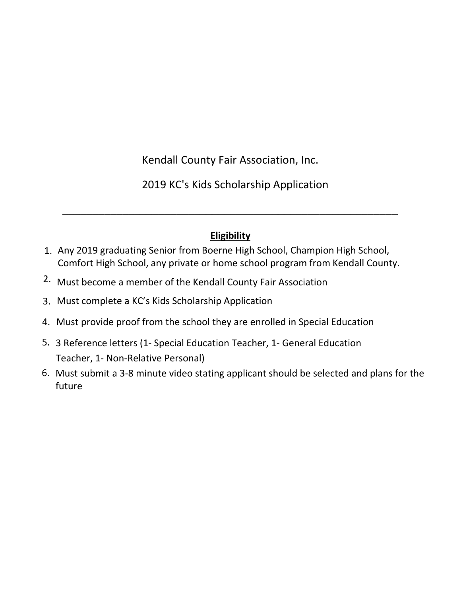

Kendall County Fair Association, Inc.

2022 KC's Kids Scholarship Application

# **Eligibility**

\_\_\_\_\_\_\_\_\_\_\_\_\_\_\_\_\_\_\_\_\_\_\_\_\_\_\_\_\_\_\_\_\_\_\_\_\_\_\_\_\_\_\_\_\_\_\_\_\_\_\_\_\_\_\_\_

- 1. Any 2022 graduating Senior from Boerne High School, Champion High School, Comfort High School, any private or home school program from Kendall County.
- 2. Must become a member of the Kendall County Fair Association
- 3. Must complete a KC's Kids Scholarship Application
- 4. Must provide proof from the school they are enrolled in Special Education
- 5. 3 Reference letters (1- Special Education Teacher, 1- General Education Teacher, 1- Non-Relative Personal)
- Must submit a 3-8 minute video stating applicant should be selected and plans for the 6.future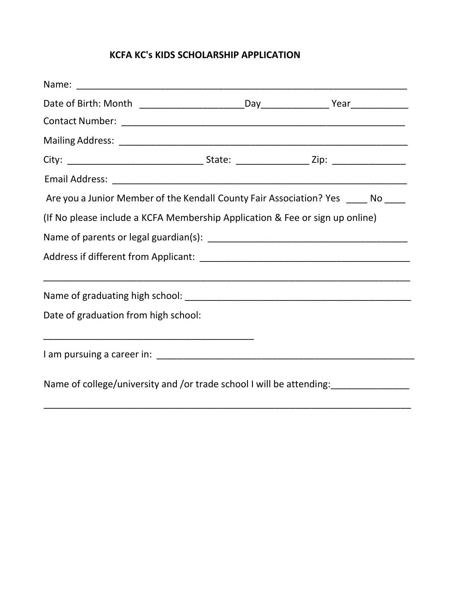## **KCFA KC's KIDS SCHOLARSHIP APPLICATION**

| Are you a Junior Member of the Kendall County Fair Association? Yes ____ No ____                                     |  |  |
|----------------------------------------------------------------------------------------------------------------------|--|--|
| (If No please include a KCFA Membership Application & Fee or sign up online)                                         |  |  |
|                                                                                                                      |  |  |
|                                                                                                                      |  |  |
|                                                                                                                      |  |  |
| Date of graduation from high school:                                                                                 |  |  |
| <u> 1990 - Johann John Stoff, mars and de British and de British and de British and de British and de British an</u> |  |  |
|                                                                                                                      |  |  |
|                                                                                                                      |  |  |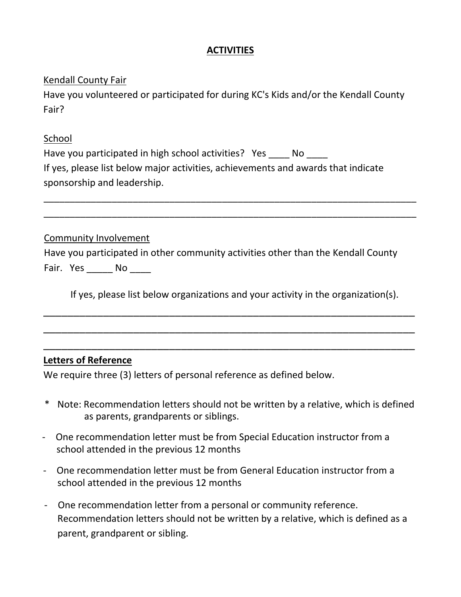#### **ACTIVITIES**

#### Kendall County Fair

Have you volunteered or participated for during KC's Kids and/or the Kendall County Fair?

#### School

| Have you participated in high school activities? Yes No                           |  |  |
|-----------------------------------------------------------------------------------|--|--|
| If yes, please list below major activities, achievements and awards that indicate |  |  |
| sponsorship and leadership.                                                       |  |  |

#### Community Involvement

|           | Have you participated in other community activities other than the Kendall County |  |  |
|-----------|-----------------------------------------------------------------------------------|--|--|
| Fair. Yes | - No                                                                              |  |  |

If yes, please list below organizations and your activity in the organization(s).

\_\_\_\_\_\_\_\_\_\_\_\_\_\_\_\_\_\_\_\_\_\_\_\_\_\_\_\_\_\_\_\_\_\_\_\_\_\_\_\_\_\_\_\_\_\_\_\_\_\_\_\_\_\_\_\_\_\_\_\_\_\_

\_\_\_\_\_\_\_\_\_\_\_\_\_\_\_\_\_\_\_\_\_\_\_\_\_\_\_\_\_\_\_\_\_\_\_\_\_\_\_\_\_\_\_\_\_\_\_\_\_\_\_\_\_\_\_\_\_\_\_\_\_\_

\_\_\_\_\_\_\_\_\_\_\_\_\_\_\_\_\_\_\_\_\_\_\_\_\_\_\_\_\_\_\_\_\_\_\_\_\_\_\_\_\_\_\_\_\_\_\_\_\_\_\_\_\_\_\_\_\_\_\_\_\_\_

\_\_\_\_\_\_\_\_\_\_\_\_\_\_\_\_\_\_\_\_\_\_\_\_\_\_\_\_\_\_\_\_\_\_\_\_\_\_\_\_\_\_\_\_\_\_\_\_\_\_\_\_\_\_\_\_\_\_\_\_\_\_\_\_\_\_\_\_\_\_\_ \_\_\_\_\_\_\_\_\_\_\_\_\_\_\_\_\_\_\_\_\_\_\_\_\_\_\_\_\_\_\_\_\_\_\_\_\_\_\_\_\_\_\_\_\_\_\_\_\_\_\_\_\_\_\_\_\_\_\_\_\_\_\_\_\_\_\_\_\_\_\_

### **Letters of Reference**

We require three (3) letters of personal reference as defined below.

- \* Note: Recommendation letters should not be written by a relative, which is defined as parents, grandparents or siblings.
- One recommendation letter must be from Special Education instructor from a school attended in the previous 12 months
- One recommendation letter must be from General Education instructor from a school attended in the previous 12 months
- One recommendation letter from a personal or community reference. Recommendation letters should not be written by a relative, which is defined as a parent, grandparent or sibling.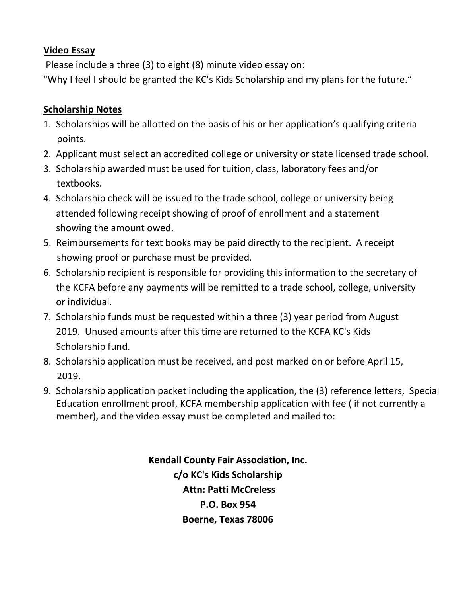## **Video Essay**

Please include a three (3) to eight (8) minute video essay on: "Why I feel I should be granted the KC's Kids Scholarship and my plans for the future."

## **Scholarship Notes**

- 1. Scholarships will be allotted on the basis of his or her application's qualifying criteria points.
- 2. Applicant must select an accredited college or university or state licensed trade school.
- 3. Scholarship awarded must be used for tuition, class, laboratory fees and/or textbooks.
- 4. Scholarship check will be issued to the trade school, college or university being attended following receipt showing of proof of enrollment and a statement showing the amount owed.
- 5. Reimbursements for text books may be paid directly to the recipient. A receipt showing proof or purchase must be provided.
- 6. Scholarship recipient is responsible for providing this information to the secretary of the KCFA before any payments will be remitted to a trade school, college, university or individual.
- 7. Scholarship funds must be requested within a three (3) year period from August 2019. Unused amounts after this time are returned to the KCFA KC's Kids Scholarship fund.
- 8. Scholarship application must be received, and post marked on or before April 15, 2019.
- 9. Scholarship application packet including the application, the (3) reference letters, Special Education enrollment proof, KCFA membership application with fee ( if not currently a member), and the video essay must be completed and mailed to:

**Kendall County Fair Association, Inc. c/o KC's Kids Scholarship Attn: Patti McCreless P.O. Box 954 Boerne, Texas 78006**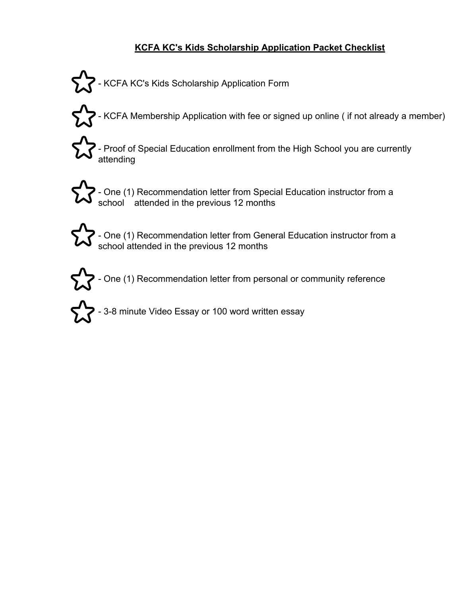## **KCFA KC's Kids Scholarship Application Packet Checklist**

- KCFA KC's Kids Scholarship Application Form
- $\blacktriangleright$  KCFA Membership Application with fee or signed up online ( if not already a member)
	- Proof of Special Education enrollment from the High School you are currently attending



- One (1) Recommendation letter from Special Education instructor from a school attended in the previous 12 months

- One (1) Recommendation letter from General Education instructor from a school attended in the previous 12 months

 $\sum$  - One (1) Recommendation letter from personal or community reference

 $\sum$  - 3-8 minute Video Essay or 100 word written essay